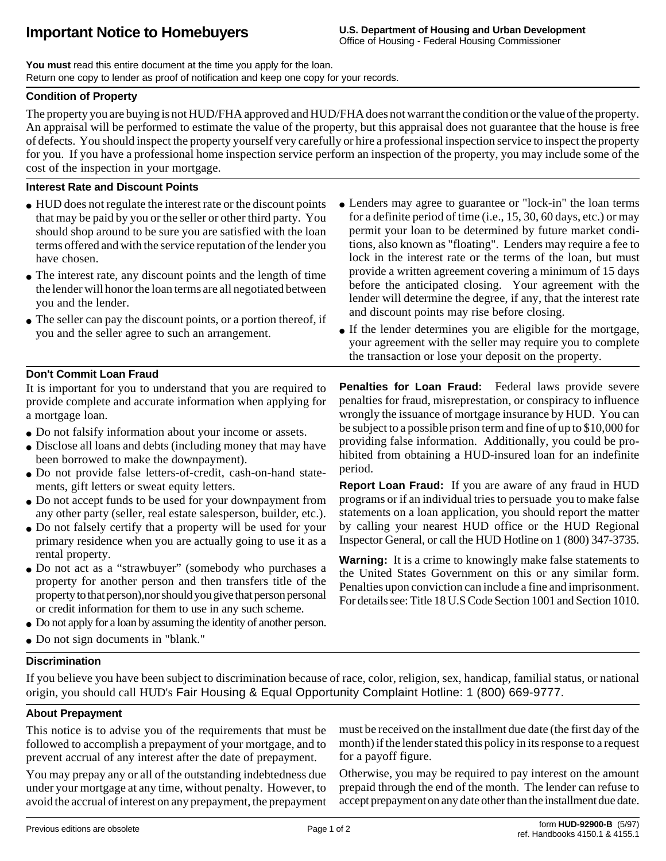**You must** read this entire document at the time you apply for the loan. Return one copy to lender as proof of notification and keep one copy for your records.

### **Condition of Property**

The property you are buying is not HUD/FHA approved and HUD/FHA does not warrant the condition or the value of the property. An appraisal will be performed to estimate the value of the property, but this appraisal does not guarantee that the house is free of defects. You should inspect the property yourself very carefully or hire a professional inspection service to inspect the property for you. If you have a professional home inspection service perform an inspection of the property, you may include some of the cost of the inspection in your mortgage.

#### **Interest Rate and Discount Points**

- HUD does not regulate the interest rate or the discount points that may be paid by you or the seller or other third party. You should shop around to be sure you are satisfied with the loan terms offered and with the service reputation of the lender you have chosen.
- The interest rate, any discount points and the length of time the lender will honor the loan terms are all negotiated between you and the lender.
- $\bullet$  The seller can pay the discount points, or a portion thereof, if you and the seller agree to such an arrangement.
- Lenders may agree to guarantee or "lock-in" the loan terms for a definite period of time (i.e., 15, 30, 60 days, etc.) or may permit your loan to be determined by future market conditions, also known as "floating". Lenders may require a fee to lock in the interest rate or the terms of the loan, but must provide a written agreement covering a minimum of 15 days before the anticipated closing. Your agreement with the lender will determine the degree, if any, that the interest rate and discount points may rise before closing.
- If the lender determines you are eligible for the mortgage, your agreement with the seller may require you to complete the transaction or lose your deposit on the property.

**Penalties for Loan Fraud:** Federal laws provide severe

# **Don't Commit Loan Fraud**

It is important for you to understand that you are required to provide complete and accurate information when applying for a mortgage loan.

- Do not falsify information about your income or assets.
- Disclose all loans and debts (including money that may have been borrowed to make the downpayment).
- Do not provide false letters-of-credit, cash-on-hand statements, gift letters or sweat equity letters.
- Do not accept funds to be used for your downpayment from any other party (seller, real estate salesperson, builder, etc.).
- Do not falsely certify that a property will be used for your primary residence when you are actually going to use it as a rental property.
- Do not act as a "strawbuyer" (somebody who purchases a property for another person and then transfers title of the property to that person),nor should you give that personpersonal or credit information for them to use in any such scheme.
- Do not apply for a loan by assuming the identity of another person.
- Do not sign documents in "blank."

# penalties for fraud, misreprestation, or conspiracy to influence wrongly the issuance of mortgage insurance by HUD. You can be subject to a possible prison term and fine of up to \$10,000 for providing false information. Additionally, you could be prohibited from obtaining a HUD-insured loan for an indefinite period. **Report Loan Fraud:** If you are aware of any fraud in HUD

programs or if an individual tries to persuade you to make false statements on a loan application, you should report the matter by calling your nearest HUD office or the HUD Regional Inspector General, or call the HUD Hotline on 1 (800) 347-3735.

**Warning:** It is a crime to knowingly make false statements to the United States Government on this or any similar form. Penalties upon conviction can include a fine and imprisonment. For details see: Title 18 U.S Code Section 1001 and Section 1010.

# **Discrimination**

If you believe you have been subject to discrimination because of race, color, religion, sex, handicap, familial status, or national origin, you should call HUD's Fair Housing & Equal Opportunity Complaint Hotline: 1 (800) 669-9777.

# **About Prepayment**

This notice is to advise you of the requirements that must be followed to accomplish a prepayment of your mortgage, and to prevent accrual of any interest after the date of prepayment.

You may prepay any or all of the outstanding indebtedness due under your mortgage at any time, without penalty. However, to avoid the accrual of interest on any prepayment, the prepayment

must be received on the installment due date (the first day of the month) if the lender stated this policy in its response to a request for a payoff figure.

Otherwise, you may be required to pay interest on the amount prepaid through the end of the month. The lender can refuse to accept prepayment on any date other than the installment due date.